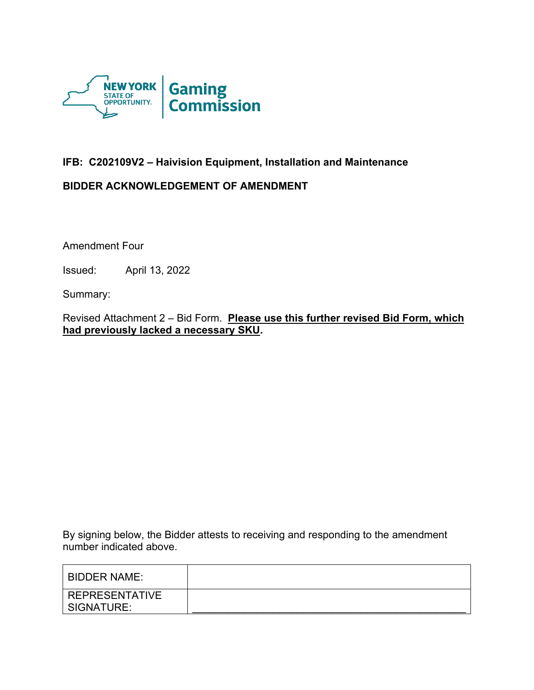

# **IFB: C202109V2 – Haivision Equipment, Installation and Maintenance**

## **BIDDER ACKNOWLEDGEMENT OF AMENDMENT**

Amendment Four

Issued: April 13, 2022

Summary:

Revised Attachment 2 – Bid Form. **Please use this further revised Bid Form, which had previously lacked a necessary SKU.**

By signing below, the Bidder attests to receiving and responding to the amendment number indicated above.

| <b>BIDDER NAME:</b>   |  |
|-----------------------|--|
| <b>REPRESENTATIVE</b> |  |
| SIGNATURE:            |  |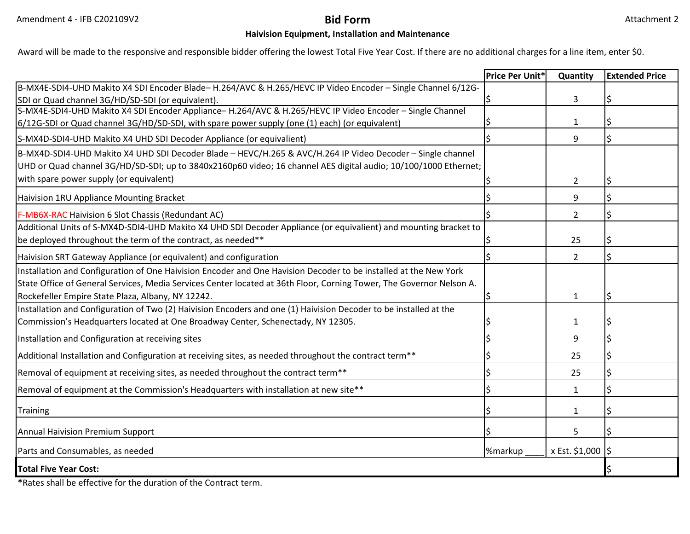### **Haivision Equipment, Installation and Maintenance**

Award will be made to the responsive and responsible bidder offering the lowest Total Five Year Cost. If there are no additional charges for a line item, enter \$0.

|                                                                                                                      | Price Per Unit* | Quantity           | <b>Extended Price</b> |
|----------------------------------------------------------------------------------------------------------------------|-----------------|--------------------|-----------------------|
| B-MX4E-SDI4-UHD Makito X4 SDI Encoder Blade- H.264/AVC & H.265/HEVC IP Video Encoder - Single Channel 6/12G-         |                 |                    |                       |
| SDI or Quad channel 3G/HD/SD-SDI (or equivalent).                                                                    |                 | 3                  |                       |
| S-MX4E-SDI4-UHD Makito X4 SDI Encoder Appliance- H.264/AVC & H.265/HEVC IP Video Encoder - Single Channel            |                 |                    |                       |
| 6/12G-SDI or Quad channel 3G/HD/SD-SDI, with spare power supply (one (1) each) (or equivalent)                       |                 | 1                  |                       |
| S-MX4D-SDI4-UHD Makito X4 UHD SDI Decoder Appliance (or equivalient)                                                 |                 | 9                  |                       |
| B-MX4D-SDI4-UHD Makito X4 UHD SDI Decoder Blade - HEVC/H.265 & AVC/H.264 IP Video Decoder - Single channel           |                 |                    |                       |
| UHD or Quad channel 3G/HD/SD-SDI; up to 3840x2160p60 video; 16 channel AES digital audio; 10/100/1000 Ethernet;      |                 |                    |                       |
| with spare power supply (or equivalent)                                                                              |                 | $\overline{2}$     |                       |
| Haivision 1RU Appliance Mounting Bracket                                                                             |                 | 9                  |                       |
| F-MB6X-RAC Haivision 6 Slot Chassis (Redundant AC)                                                                   |                 | $\overline{2}$     |                       |
| Additional Units of S-MX4D-SDI4-UHD Makito X4 UHD SDI Decoder Appliance (or equivalient) and mounting bracket to     |                 |                    |                       |
| be deployed throughout the term of the contract, as needed**                                                         |                 | 25                 |                       |
| Haivision SRT Gateway Appliance (or equivalent) and configuration                                                    |                 | $\overline{2}$     |                       |
| Installation and Configuration of One Haivision Encoder and One Havision Decoder to be installed at the New York     |                 |                    |                       |
| State Office of General Services, Media Services Center located at 36th Floor, Corning Tower, The Governor Nelson A. |                 |                    |                       |
| Rockefeller Empire State Plaza, Albany, NY 12242.                                                                    |                 | $\mathbf{1}$       |                       |
| Installation and Configuration of Two (2) Haivision Encoders and one (1) Haivision Decoder to be installed at the    |                 |                    |                       |
| Commission's Headquarters located at One Broadway Center, Schenectady, NY 12305.                                     |                 | $\mathbf{1}$       |                       |
| Installation and Configuration at receiving sites                                                                    |                 | 9                  |                       |
| Additional Installation and Configuration at receiving sites, as needed throughout the contract term**               |                 | 25                 |                       |
| Removal of equipment at receiving sites, as needed throughout the contract term**                                    |                 | 25                 |                       |
| Removal of equipment at the Commission's Headquarters with installation at new site**                                |                 | 1                  |                       |
| <b>Training</b>                                                                                                      |                 | $\mathbf{1}$       |                       |
| <b>Annual Haivision Premium Support</b>                                                                              |                 | 5                  |                       |
| Parts and Consumables, as needed                                                                                     | %markup         | x Est. \$1,000  \$ |                       |
| <b>Total Five Year Cost:</b>                                                                                         |                 |                    |                       |

**\***Rates shall be effective for the duration of the Contract term.